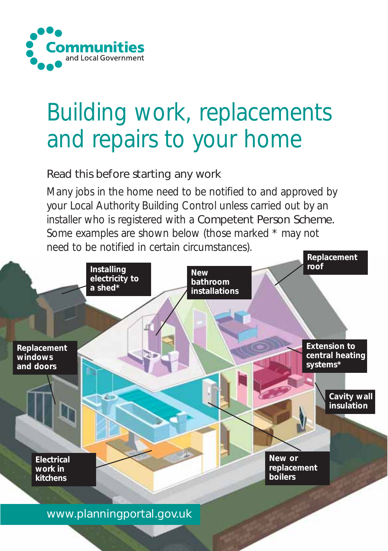

# Building work, replacements and repairs to your home

# Read this before starting any work

Many jobs in the home need to be notified to and approved by your Local Authority Building Control unless carried out by an installer who is registered with a Competent Person Scheme. Some examples are shown below (those marked \* may not need to be notified in certain circumstances).

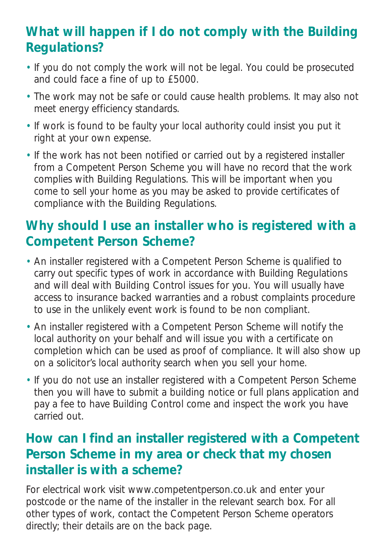# **What will happen if I do not comply with the Building Regulations?**

- If you do not comply the work will not be legal. You could be prosecuted and could face a fine of up to £5000.
- The work may not be safe or could cause health problems. It may also not meet energy efficiency standards.
- If work is found to be faulty your local authority could insist you put it right at your own expense.
- If the work has not been notified or carried out by a registered installer from a Competent Person Scheme you will have no record that the work complies with Building Regulations. This will be important when you come to sell your home as you may be asked to provide certificates of compliance with the Building Regulations.

# **Why should I use an installer who is registered with a Competent Person Scheme?**

- An installer registered with a Competent Person Scheme is qualified to carry out specific types of work in accordance with Building Regulations and will deal with Building Control issues for you. You will usually have access to insurance backed warranties and a robust complaints procedure to use in the unlikely event work is found to be non compliant.
- An installer registered with a Competent Person Scheme will notify the local authority on your behalf and will issue you with a certificate on completion which can be used as proof of compliance. It will also show up on a solicitor's local authority search when you sell your home.
- If you do not use an installer registered with a Competent Person Scheme then you will have to submit a building notice or full plans application and pay a fee to have Building Control come and inspect the work you have carried out.

# **How can I find an installer registered with a Competent Person Scheme in my area or check that my chosen installer is with a scheme?**

For electrical work visit www.competentperson.co.uk and enter your postcode or the name of the installer in the relevant search box. For all other types of work, contact the Competent Person Scheme operators directly; their details are on the back page.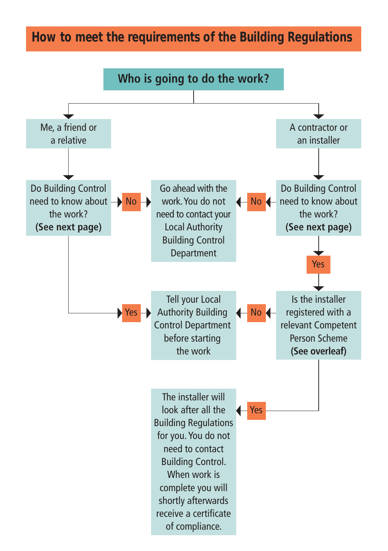# **How to meet the requirements of the Building Regulations**

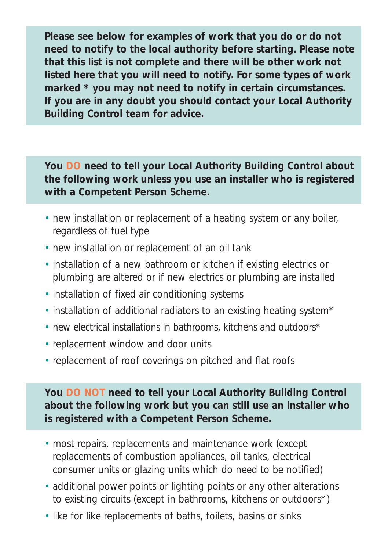**Please see below for examples of work that you do or do not need to notify to the local authority before starting. Please note that this list is not complete and there will be other work not listed here that you will need to notify. For some types of work marked \* you may not need to notify in certain circumstances. If you are in any doubt you should contact your Local Authority Building Control team for advice.**

**You DO need to tell your Local Authority Building Control about the following work unless you use an installer who is registered with a Competent Person Scheme.** 

- new installation or replacement of a heating system or any boiler, regardless of fuel type
- new installation or replacement of an oil tank
- installation of a new bathroom or kitchen if existing electrics or plumbing are altered or if new electrics or plumbing are installed
- installation of fixed air conditioning systems
- installation of additional radiators to an existing heating system\*
- new electrical installations in bathrooms, kitchens and outdoors\*
- replacement window and door units
- replacement of roof coverings on pitched and flat roofs

**You DO NOT need to tell your Local Authority Building Control about the following work but you can still use an installer who is registered with a Competent Person Scheme.**

- most repairs, replacements and maintenance work (except replacements of combustion appliances, oil tanks, electrical consumer units or glazing units which do need to be notified)
- additional power points or lighting points or any other alterations to existing circuits (except in bathrooms, kitchens or outdoors\*)
- like for like replacements of baths, toilets, basins or sinks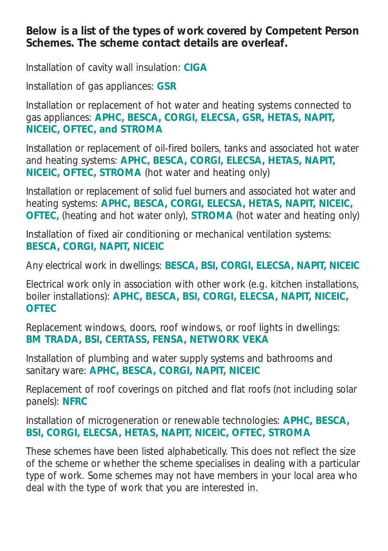**Below is a list of the types of work covered by Competent Person Schemes. The scheme contact details are overleaf.**

Installation of cavity wall insulation: **CIGA**

Installation of gas appliances: **GSR**

Installation or replacement of hot water and heating systems connected to gas appliances: **APHC, BESCA, CORGI, ELECSA, GSR, HETAS, NAPIT, NICEIC, OFTEC, and STROMA**

Installation or replacement of oil-fired boilers, tanks and associated hot water and heating systems: **APHC, BESCA, CORGI, ELECSA, HETAS, NAPIT, NICEIC, OFTEC, STROMA** (hot water and heating only)

Installation or replacement of solid fuel burners and associated hot water and heating systems: **APHC, BESCA, CORGI, ELECSA, HETAS, NAPIT, NICEIC, OFTEC,** (heating and hot water only), **STROMA** (hot water and heating only)

Installation of fixed air conditioning or mechanical ventilation systems: **BESCA, CORGI, NAPIT, NICEIC**

Any electrical work in dwellings: **BESCA, BSI, CORGI, ELECSA, NAPIT, NICEIC** 

Electrical work only in association with other work (e.g. kitchen installations, boiler installations): **APHC, BESCA, BSI, CORGI, ELECSA, NAPIT, NICEIC, OFTEC** 

Replacement windows, doors, roof windows, or roof lights in dwellings: **BM TRADA, BSI, CERTASS, FENSA, NETWORK VEKA** 

Installation of plumbing and water supply systems and bathrooms and sanitary ware: **APHC, BESCA, CORGI, NAPIT, NICEIC** 

Replacement of roof coverings on pitched and flat roofs (not including solar panels): **NFRC** 

Installation of microgeneration or renewable technologies: **APHC, BESCA, BSI, CORGI, ELECSA, HETAS, NAPIT, NICEIC, OFTEC, STROMA**

These schemes have been listed alphabetically. This does not reflect the size of the scheme or whether the scheme specialises in dealing with a particular type of work. Some schemes may not have members in your local area who deal with the type of work that you are interested in.